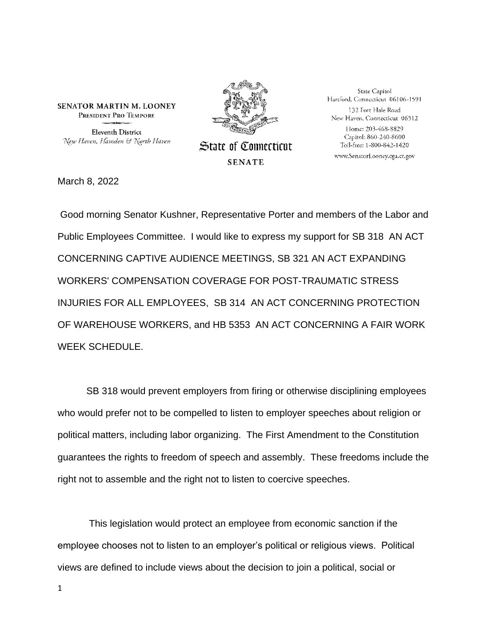**SENATOR MARTIN M. LOONEY** PRESIDENT PRO TEMPORE **Eleventh District** New Haven, Hamden & North Haven



**State of Connecticut SENATE** 

State Capitol Hartford, Connecticut 06106-1591 132 Fort Hale Road New Haven, Connecticut 06512 Home: 203-468-8829 Capitol: 860-240-8600 Toll-free: 1-800-842-1420

www.SenatorLooney.cga.ct.gov

March 8, 2022

Good morning Senator Kushner, Representative Porter and members of the Labor and Public Employees Committee. I would like to express my support for SB 318 AN ACT CONCERNING CAPTIVE AUDIENCE MEETINGS, SB 321 AN ACT EXPANDING WORKERS' COMPENSATION COVERAGE FOR POST-TRAUMATIC STRESS INJURIES FOR ALL EMPLOYEES, SB 314 AN ACT CONCERNING PROTECTION OF WAREHOUSE WORKERS, and HB 5353 AN ACT CONCERNING A FAIR WORK WEEK SCHEDULE.

SB 318 would prevent employers from firing or otherwise disciplining employees who would prefer not to be compelled to listen to employer speeches about religion or political matters, including labor organizing. The First Amendment to the Constitution guarantees the rights to freedom of speech and assembly. These freedoms include the right not to assemble and the right not to listen to coercive speeches.

This legislation would protect an employee from economic sanction if the employee chooses not to listen to an employer's political or religious views. Political views are defined to include views about the decision to join a political, social or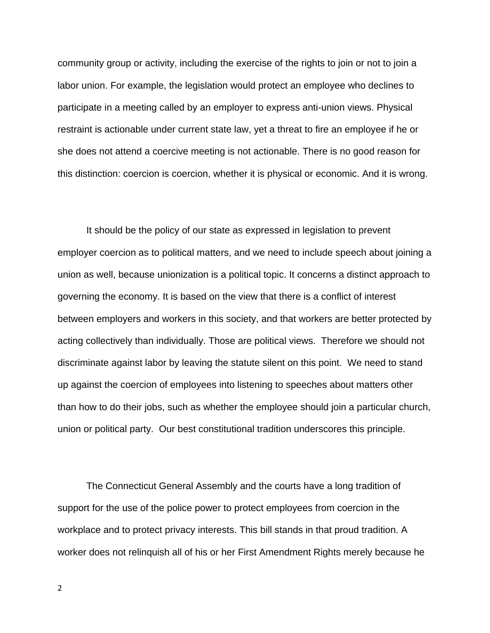community group or activity, including the exercise of the rights to join or not to join a labor union. For example, the legislation would protect an employee who declines to participate in a meeting called by an employer to express anti-union views. Physical restraint is actionable under current state law, yet a threat to fire an employee if he or she does not attend a coercive meeting is not actionable. There is no good reason for this distinction: coercion is coercion, whether it is physical or economic. And it is wrong.

It should be the policy of our state as expressed in legislation to prevent employer coercion as to political matters, and we need to include speech about joining a union as well, because unionization is a political topic. It concerns a distinct approach to governing the economy. It is based on the view that there is a conflict of interest between employers and workers in this society, and that workers are better protected by acting collectively than individually. Those are political views. Therefore we should not discriminate against labor by leaving the statute silent on this point. We need to stand up against the coercion of employees into listening to speeches about matters other than how to do their jobs, such as whether the employee should join a particular church, union or political party. Our best constitutional tradition underscores this principle.

The Connecticut General Assembly and the courts have a long tradition of support for the use of the police power to protect employees from coercion in the workplace and to protect privacy interests. This bill stands in that proud tradition. A worker does not relinquish all of his or her First Amendment Rights merely because he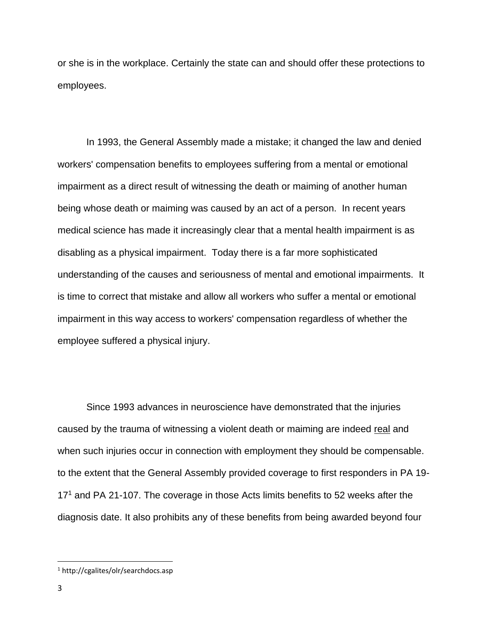or she is in the workplace. Certainly the state can and should offer these protections to employees.

In 1993, the General Assembly made a mistake; it changed the law and denied workers' compensation benefits to employees suffering from a mental or emotional impairment as a direct result of witnessing the death or maiming of another human being whose death or maiming was caused by an act of a person. In recent years medical science has made it increasingly clear that a mental health impairment is as disabling as a physical impairment. Today there is a far more sophisticated understanding of the causes and seriousness of mental and emotional impairments. It is time to correct that mistake and allow all workers who suffer a mental or emotional impairment in this way access to workers' compensation regardless of whether the employee suffered a physical injury.

Since 1993 advances in neuroscience have demonstrated that the injuries caused by the trauma of witnessing a violent death or maiming are indeed real and when such injuries occur in connection with employment they should be compensable. to the extent that the General Assembly provided coverage to first responders in PA 19- 17<sup>1</sup> and PA 21-107. The coverage in those Acts limits benefits to 52 weeks after the diagnosis date. It also prohibits any of these benefits from being awarded beyond four

<sup>1</sup> http://cgalites/olr/searchdocs.asp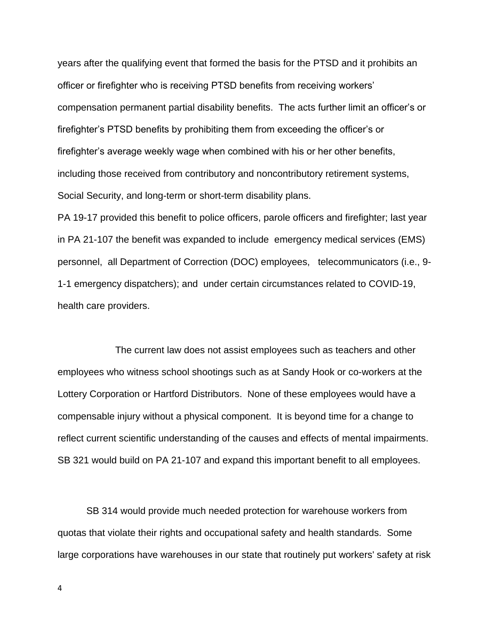years after the qualifying event that formed the basis for the PTSD and it prohibits an officer or firefighter who is receiving PTSD benefits from receiving workers' compensation permanent partial disability benefits. The acts further limit an officer's or firefighter's PTSD benefits by prohibiting them from exceeding the officer's or firefighter's average weekly wage when combined with his or her other benefits, including those received from contributory and noncontributory retirement systems, Social Security, and long-term or short-term disability plans.

PA 19-17 provided this benefit to police officers, parole officers and firefighter; last year in PA 21-107 the benefit was expanded to include emergency medical services (EMS) personnel, all Department of Correction (DOC) employees, telecommunicators (i.e., 9- 1-1 emergency dispatchers); and under certain circumstances related to COVID-19, health care providers.

The current law does not assist employees such as teachers and other employees who witness school shootings such as at Sandy Hook or co-workers at the Lottery Corporation or Hartford Distributors. None of these employees would have a compensable injury without a physical component. It is beyond time for a change to reflect current scientific understanding of the causes and effects of mental impairments. SB 321 would build on PA 21-107 and expand this important benefit to all employees.

SB 314 would provide much needed protection for warehouse workers from quotas that violate their rights and occupational safety and health standards. Some large corporations have warehouses in our state that routinely put workers' safety at risk

4